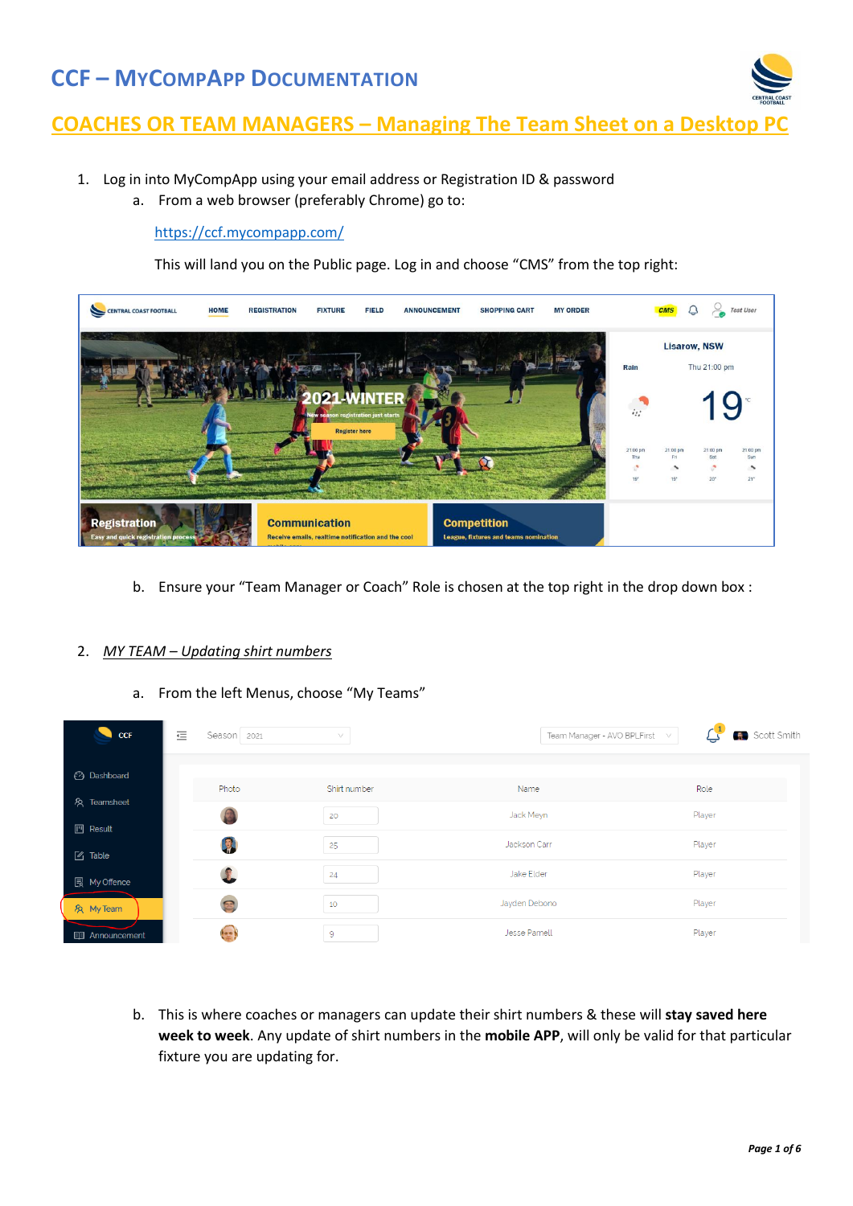

### **COACHES OR TEAM MANAGERS – Managing The Team Sheet on a Desktop**

- 1. Log in into MyCompApp using your email address or Registration ID & password
	- a. From a web browser (preferably Chrome) go to:

#### <https://ccf.mycompapp.com/>

This will land you on the Public page. Log in and choose "CMS" from the top right:



b. Ensure your "Team Manager or Coach" Role is chosen at the top right in the drop down box :

#### 2. *MY TEAM – Updating shirt numbers*

a. From the left Menus, choose "My Teams"

| $\bullet$ CCF               | 這 | Season 2021 | $\searrow$     | Team Manager - AVO BPLFirst | Scott Smith<br>$\vee$ |
|-----------------------------|---|-------------|----------------|-----------------------------|-----------------------|
| <b>2</b> Dashboard          |   |             |                |                             |                       |
|                             |   | Photo       | Shirt number   | Name                        | Role                  |
| & Teamsheet                 |   |             | 20             | Jack Meyn                   | Player                |
| $\mathbb{P}$ Result         |   | D           | 25             | Jackson Carr                | Player                |
| $\boxed{\mathscr{C}}$ Table |   |             |                | Jake Elder                  |                       |
| <b>艮 My Offence</b>         |   | 1           | 24             |                             | Player                |
| & My Team                   |   | 耳           | 10             | Jayden Debono               | Player                |
| <b>图 Announcement</b>       |   | ters)       | $\overline{9}$ | Jesse Parnell               | Player                |

b. This is where coaches or managers can update their shirt numbers & these will **stay saved here week to week**. Any update of shirt numbers in the **mobile APP**, will only be valid for that particular fixture you are updating for.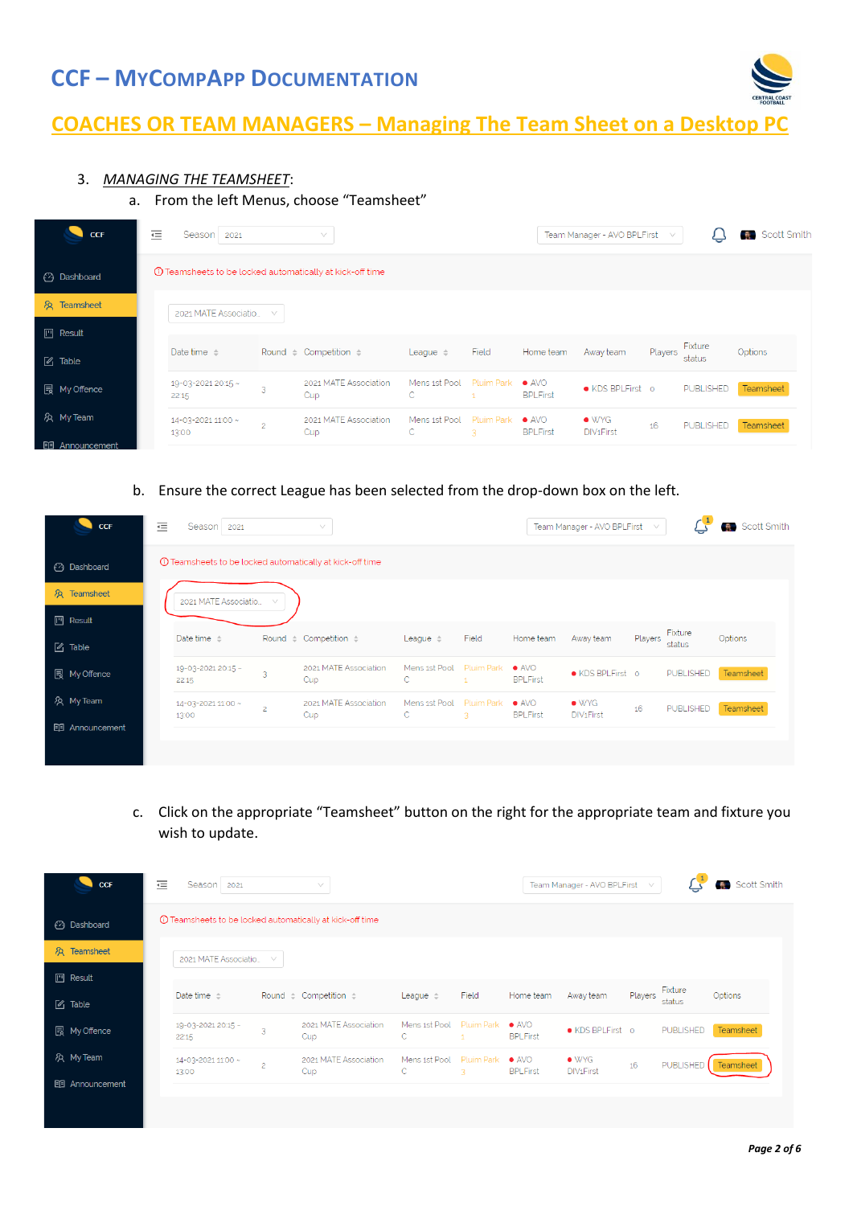

# **COACHES OR TEAM MANAGERS - Managing The Team Sheet on a Desktop**

### 3. *MANAGING THE TEAMSHEET*:

#### a. From the left Menus, choose "Teamsheet"

| <b>CCF</b>                  | 這<br>Season 2021                                                  |                | $\vee$                          |                          |                 |                                  | Team Manager - AVO BPLFirst             | $\vee$  |                   | Scott Smith |
|-----------------------------|-------------------------------------------------------------------|----------------|---------------------------------|--------------------------|-----------------|----------------------------------|-----------------------------------------|---------|-------------------|-------------|
| <b>3</b> Dashboard          | <b>(i)</b> Teamsheets to be locked automatically at kick-off time |                |                                 |                          |                 |                                  |                                         |         |                   |             |
| R <sub>2</sub> Teamsheet    | 2021 MATE Associatio                                              | $\checkmark$   |                                 |                          |                 |                                  |                                         |         |                   |             |
| $\mathbb{M}$ Result         |                                                                   |                |                                 |                          |                 |                                  |                                         |         |                   |             |
| $\boxed{\mathscr{C}}$ Table | Date time $\div$                                                  |                | Round $\div$ Competition $\div$ | League $\Leftrightarrow$ | Field           | Home team                        | Away team                               | Players | Fixture<br>status | Options     |
| <b>同</b> My Offence         | 19-03-2021 20:15 ~<br>22:15                                       | $\sim$         | 2021 MATE Association<br>Cup    | Mens 1st Pool<br>C.      | Pluim Park      | $\bullet$ AVO<br><b>BPLFirst</b> | ● KDS BPLFirst o                        |         | <b>PUBLISHED</b>  | Teamsheet   |
| & My Team                   | 14-03-2021 11:00 ~<br>13:00                                       | $\overline{c}$ | 2021 MATE Association<br>Cup    | Mens 1st Pool<br>C       | Pluim Park<br>3 | $\bullet$ AVO<br><b>BPLFirst</b> | $\bullet$ WYG<br>DIV <sub>1</sub> First | 16      | PUBLISHED         | Teamsheet   |
| <b>图 Announcement</b>       |                                                                   |                |                                 |                          |                 |                                  |                                         |         |                   |             |

#### b. Ensure the correct League has been selected from the drop-down box on the left.

| CCF<br>٠              | 這 | Season 2021                 |                | $\vee$                                                    |                               |                            |                                  | Team Manager - AVO BPLFirst             | $\vee$  |                   | <b>R</b> Scott Smith |
|-----------------------|---|-----------------------------|----------------|-----------------------------------------------------------|-------------------------------|----------------------------|----------------------------------|-----------------------------------------|---------|-------------------|----------------------|
| <b>3</b> Dashboard    |   |                             |                | 10 Teamsheets to be locked automatically at kick-off time |                               |                            |                                  |                                         |         |                   |                      |
| & Teamsheet           |   | 2021 MATE Associatio        | $\searrow$ /   |                                                           |                               |                            |                                  |                                         |         |                   |                      |
| $\mathbb{M}$ Result   |   |                             |                |                                                           |                               |                            |                                  |                                         |         |                   |                      |
| $\mathbb{Z}$ Table    |   | Date time $\Leftrightarrow$ |                | Round $\div$ Competition $\div$                           | League $\Leftrightarrow$      | Field                      | Home team                        | Away team                               | Players | Fixture<br>status | Options              |
| <b>同</b> My Offence   |   | 19-03-2021 20:15 ~<br>22:15 | 3              | 2021 MATE Association<br>Cup                              | Mens 1st Pool<br>$\mathsf{C}$ | Pluim Park<br>$\mathbf{1}$ | $\bullet$ AVO<br><b>BPLFirst</b> | • KDS BPLFirst o                        |         | <b>PUBLISHED</b>  | Teamsheet            |
| A My Team             |   | 14-03-2021 11:00 ~<br>13:00 | $\overline{2}$ | 2021 MATE Association<br>Cup                              | Mens 1st Pool<br>C            | <b>Pluim Park</b><br>3     | $\bullet$ AVO<br><b>BPLFirst</b> | $\bullet$ WYG<br>DIV <sub>1</sub> First | 16      | PUBLISHED         | Teamsheet            |
| <b>图 Announcement</b> |   |                             |                |                                                           |                               |                            |                                  |                                         |         |                   |                      |
|                       |   |                             |                |                                                           |                               |                            |                                  |                                         |         |                   |                      |

c. Click on the appropriate "Teamsheet" button on the right for the appropriate team and fixture you wish to update.

| <b>CCF</b>                  | 這 | Season 2021                 |                | $\vee$                                                          |                          |                          |                                  | Team Manager - AVO BPLFirst             | $\vee$  |                   | Scott Smith      |
|-----------------------------|---|-----------------------------|----------------|-----------------------------------------------------------------|--------------------------|--------------------------|----------------------------------|-----------------------------------------|---------|-------------------|------------------|
| (2) Dashboard               |   |                             |                | <b>1</b> Teamsheets to be locked automatically at kick-off time |                          |                          |                                  |                                         |         |                   |                  |
| R <sub>2</sub> Teamsheet    |   | 2021 MATE Associatio        | $\vee$         |                                                                 |                          |                          |                                  |                                         |         |                   |                  |
| $\Box$ Result               |   |                             |                |                                                                 |                          |                          |                                  |                                         |         |                   |                  |
| $\boxed{\mathscr{L}}$ Table |   | Date time $\triangle$       |                | Round $\div$ Competition $\div$                                 | League $\Leftrightarrow$ | Field                    | Home team                        | Away team                               | Players | Fixture<br>status | Options          |
| <b>同</b> My Offence         |   | 19-03-2021 20:15 ~<br>22:15 | $\sim$         | 2021 MATE Association<br>Cup                                    | Mens 1st Pool<br>C.      | Pluim Park               | $\bullet$ AVO<br><b>BPLFirst</b> | • KDS BPLFirst o                        |         | <b>PUBLISHED</b>  | Teamsheet        |
| & My Team                   |   | 14-03-2021 11:00 ~<br>13:00 | $\overline{c}$ | 2021 MATE Association<br>Cup                                    | Mens 1st Pool<br>С       | <b>Pluim Park</b><br>-3. | $\bullet$ AVO<br><b>BPLFirst</b> | $\bullet$ WYG<br>DIV <sub>1</sub> First | 16      | <b>PUBLISHED</b>  | <b>Teamsheet</b> |
| <b>图 Announcement</b>       |   |                             |                |                                                                 |                          |                          |                                  |                                         |         |                   |                  |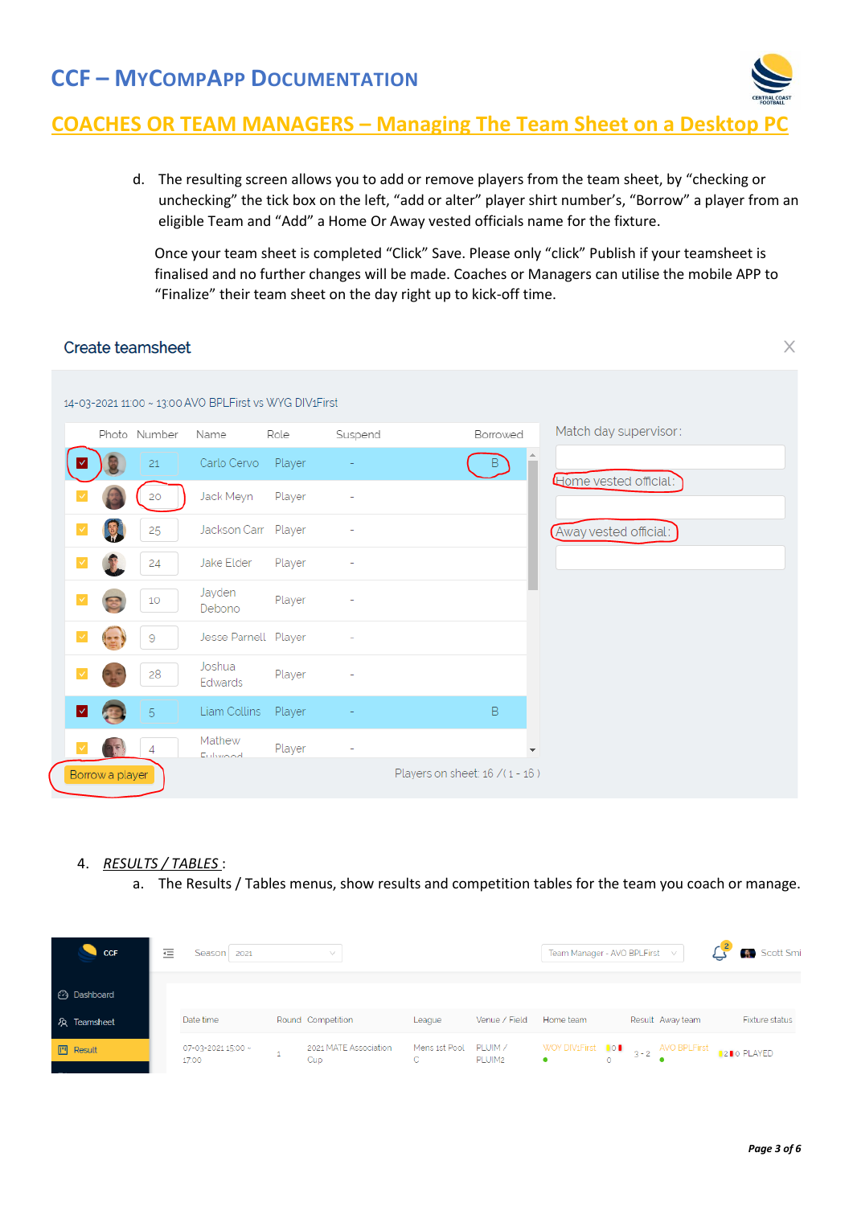

### **COACHES OR TEAM MANAGERS – Managing The Team Sheet on a Desktop**

d. The resulting screen allows you to add or remove players from the team sheet, by "checking or unchecking" the tick box on the left, "add or alter" player shirt number's, "Borrow" a player from an eligible Team and "Add" a Home Or Away vested officials name for the fixture.

Once your team sheet is completed "Click" Save. Please only "click" Publish if your teamsheet is finalised and no further changes will be made. Coaches or Managers can utilise the mobile APP to "Finalize" their team sheet on the day right up to kick-off time.

| Create teamsheet                                       |                      |        |         |                                | X                     |
|--------------------------------------------------------|----------------------|--------|---------|--------------------------------|-----------------------|
| 14-03-2021 11:00 ~ 13:00 AVO BPLFirst vs WYG DIV1First |                      |        |         |                                |                       |
| Photo Number                                           | Name                 | Role   | Suspend | Borrowed                       | Match day supervisor: |
| 21                                                     | Carlo Cervo          | Player |         | $\overline{B}$                 | Home vested official: |
| 20                                                     | Jack Meyn            | Player |         |                                |                       |
| 25                                                     | Jackson Carr Player  |        |         |                                | Away vested official: |
| 24                                                     | Jake Elder           | Player |         |                                |                       |
| 10                                                     | Jayden<br>Debono     | Player |         |                                |                       |
| 9                                                      | Jesse Parnell Player |        |         |                                |                       |
| 28                                                     | Joshua<br>Edwards    | Player |         |                                |                       |
| 5<br>է                                                 | Liam Collins         | Player |         | B                              |                       |
| 4                                                      | Mathew<br>Eulwood    | Player |         |                                |                       |
| Borrow a player                                        |                      |        |         | Players on sheet: 16 /(1 - 16) |                       |

#### 4. *RESULTS / TABLES* :

a. The Results / Tables menus, show results and competition tables for the team you coach or manage.

| <b>CCF</b>          | 這 | Season 2021                 | $\checkmark$                 |                                        |                    | Team Manager - AVO BPLFirst V                                                |  |                  | Scott Smi          |
|---------------------|---|-----------------------------|------------------------------|----------------------------------------|--------------------|------------------------------------------------------------------------------|--|------------------|--------------------|
| <b>3</b> Dashboard  |   |                             |                              |                                        |                    |                                                                              |  |                  |                    |
| 人 Teamsheet         |   | Date time                   | Round Competition            | League                                 | Venue / Field      | Home team                                                                    |  | Result Away team | Fixture status     |
| $\mathbb{P}$ Result |   | 07-03-2021 15:00 ~<br>17:00 | 2021 MATE Association<br>Cup | Mens 1st Pool PLUIM /<br>$\mathcal{C}$ | PLUIM <sub>2</sub> | WOY DIV1First $\bullet$ $\bullet$ $\bullet$ $\bullet$ $\bullet$ AVO BPLFirst |  |                  | <b>1200 PLAYED</b> |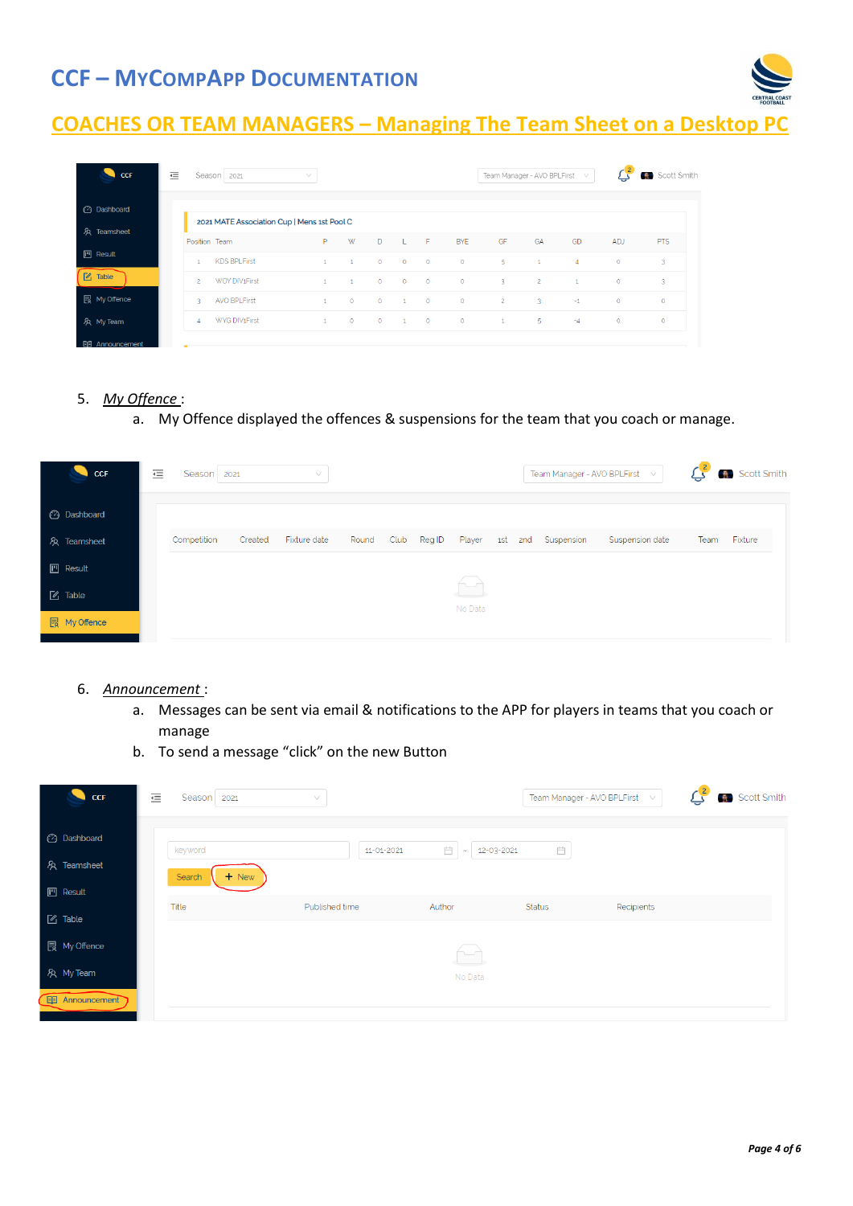

# **COACHES OR TEAM MANAGERS – Managing The Team Sheet on a Desktop PC**

| <b>CCF</b>            | 這              | Season 2021                                 | $\vee$       |              |         |                |          |            | Team Manager - AVO BPLFirst v |                |                |            | Scott Smith<br>-8. |
|-----------------------|----------------|---------------------------------------------|--------------|--------------|---------|----------------|----------|------------|-------------------------------|----------------|----------------|------------|--------------------|
| <b>3</b> Dashboard    |                | 2021 MATE Association Cup   Mens 1st Pool C |              |              |         |                |          |            |                               |                |                |            |                    |
| R Teamsheet           | Position Team  |                                             | P            | W            | D.      | $-L$           | F        | <b>BYE</b> | GF                            | GA             | GD             | <b>ADJ</b> | <b>PTS</b>         |
| $\Box$ Result         | 1              | <b>KDS BPLFirst</b>                         | $\mathbf{1}$ | $\mathbf{1}$ | $\circ$ | $\circ$        | $\circ$  | $\circ$    | 5                             | $\mathbf{1}$   | $\overline{4}$ | $\circ$    | 3                  |
| $\sqrt{2}$ Table      | $\overline{c}$ | WOY DIV1First                               | $\mathbf{1}$ | $\mathbf{1}$ | $\circ$ | $\circ$        | $\circ$  | $\circ$    | $\overline{3}$                | $\overline{2}$ | $\mathbf{1}$   | $\circ$    | $\overline{3}$     |
| <b>同</b> My Offence   | R              | <b>AVO BPLFirst</b>                         | $\mathbf{1}$ | $\circ$      | $\circ$ | $\overline{1}$ | $\circ$  | $\circ$    | $\overline{2}$                | $-3$           | $-1$           | $\circ$    | $\circ$            |
| A My Team             | 4              | WYG DIV <sub>1</sub> First                  | $\mathbf{1}$ | $\circ$      | $\circ$ | $\sim$ 1       | $\sim$ 0 | $\circ$    | $\mathbf{1}$                  | -5             | $-4$           | $\circ$    | $\circ$            |
| <b>国 Announcement</b> | <b>CONTENT</b> |                                             |              |              |         |                |          |            |                               |                |                |            |                    |

#### 5. *My Offence* :

a. My Offence displayed the offences & suspensions for the team that you coach or manage.



#### 6. *Announcement* :

- a. Messages can be sent via email & notifications to the APP for players in teams that you coach or manage
- b. To send a message "click" on the new Button

| <b>CCF</b>             | 這 | Season 2021 |         | V              |            |                 |                   | Team Manager - AVO BPLFirst<br>- Vi | $\mathbb{C}^2$ | Scott Smith |
|------------------------|---|-------------|---------|----------------|------------|-----------------|-------------------|-------------------------------------|----------------|-------------|
| <b>2</b> Dashboard     |   | keyword     |         |                | 11-01-2021 | 自<br>12-03-2021 | $\overline{\Box}$ |                                     |                |             |
| & Teamsheet            |   | Search      | $+$ New |                |            |                 |                   |                                     |                |             |
| $\mathbb{M}$ Result    |   |             |         |                |            |                 |                   |                                     |                |             |
| $\mathbb{Z}$ Table     |   | Title       |         | Published time |            | Author          | <b>Status</b>     | Recipients                          |                |             |
| <b>艮 My Offence</b>    |   |             |         |                |            | سد              |                   |                                     |                |             |
| & My Team              |   |             |         |                |            | No Data         |                   |                                     |                |             |
| <b>EE</b> Announcement |   |             |         |                |            |                 |                   |                                     |                |             |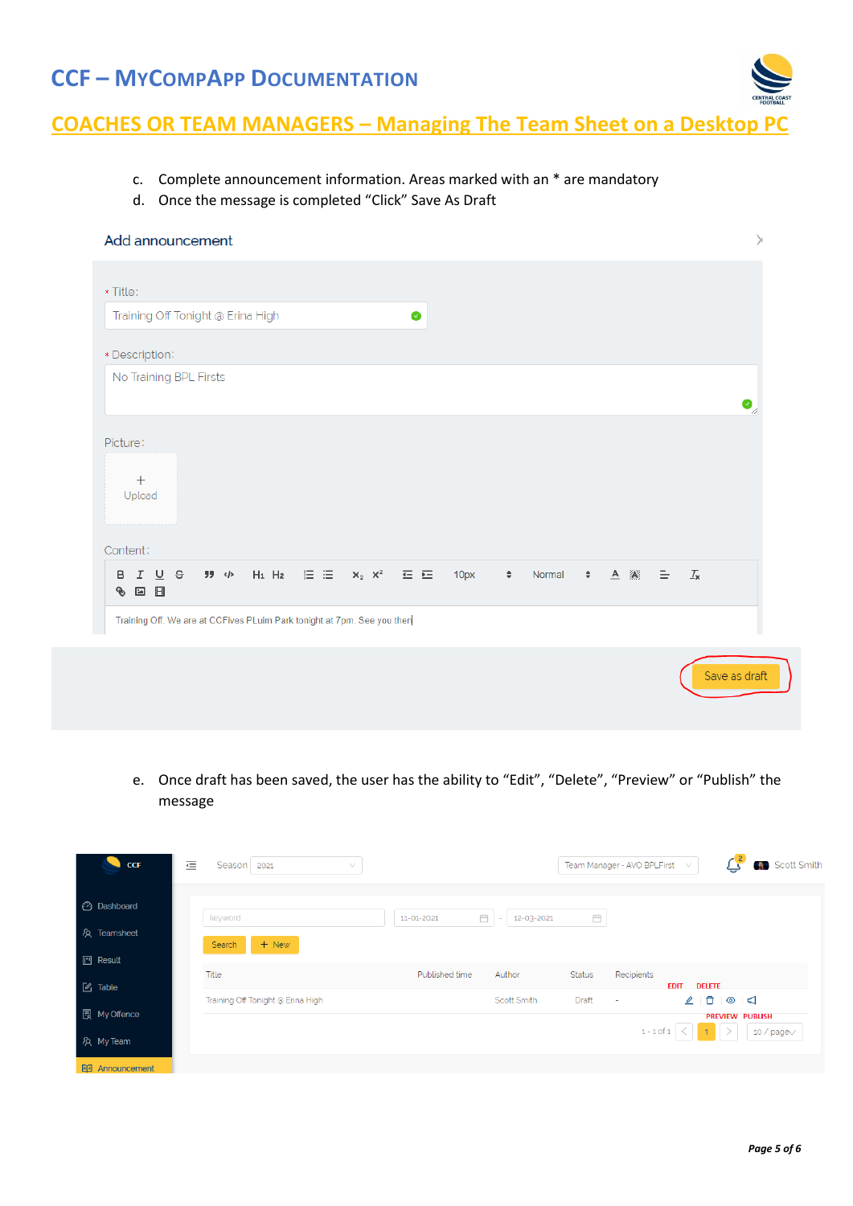

# **COACHES OR TEAM MANAGERS – Managing The Team Sheet on a Desktop PC**

- c. Complete announcement information. Areas marked with an \* are mandatory
- d. Once the message is completed "Click" Save As Draft

| Add announcement                                                                                                                                                                                                            | X                                       |
|-----------------------------------------------------------------------------------------------------------------------------------------------------------------------------------------------------------------------------|-----------------------------------------|
| * Title:                                                                                                                                                                                                                    |                                         |
| Training Off Tonight @ Erina High<br>$\bullet$                                                                                                                                                                              |                                         |
| * Description:                                                                                                                                                                                                              |                                         |
| No Training BPL Firsts                                                                                                                                                                                                      | $\bullet_{\!\scriptscriptstyle\diagup}$ |
| Picture:<br>$^{+}$<br>Upload<br>Content:<br>ガ ゆ Hi Hz 注 三 $X_2$ $X^2$ 三 三<br>$\div$ $\underline{A}$ $\underline{38}$ $\underline{=}$ $\underline{T_x}$<br>B <i>I</i> U <del>S</del><br>10px<br>$\hat{\mathbb{U}}$<br>Normal |                                         |
| $\boxdot$<br>$\mathbf{L}$<br>G<br>Training Off. We are at CCFives PLuim Park tonight at 7pm. See you then                                                                                                                   |                                         |
| Save as draft                                                                                                                                                                                                               |                                         |

e. Once draft has been saved, the user has the ability to "Edit", "Delete", "Preview" or "Publish" the message

| <b>CCF</b>            | 這<br>Season   2021<br>v                    |                                         |                        | <b>Scott Smith</b><br>Team Manager - AVO BPLFirst V                           |  |
|-----------------------|--------------------------------------------|-----------------------------------------|------------------------|-------------------------------------------------------------------------------|--|
| <b>2</b> Dashboard    | keyword                                    | Ö<br>12-03-2021<br>11-01-2021<br>$\sim$ | Ë                      |                                                                               |  |
| & Teamsheet           | $+$ New<br>Search                          |                                         |                        |                                                                               |  |
| $\mathbb{M}$ Result   |                                            |                                         |                        |                                                                               |  |
| $\boxtimes$ Table     | Title<br>Training Off Tonight @ Erina High | Published time<br>Author<br>Scott Smith | <b>Status</b><br>Draft | Recipients<br><b>EDIT</b><br><b>DELETE</b><br>20<br>$\circ$ $\circ$<br>$\sim$ |  |
| <b>最 My Offence</b>   |                                            |                                         |                        | <b>PREVIEW PUBLISH</b>                                                        |  |
| A My Team             |                                            |                                         |                        | $1 - 1$ of $1 \leq  $<br>$1 \times$<br>10 / page $\vee$                       |  |
| <b>同 Announcement</b> |                                            |                                         |                        |                                                                               |  |